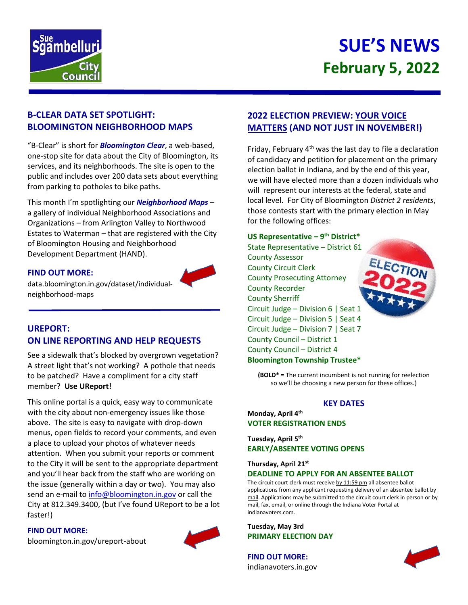

# **SUE'S NEWS February 5, 2022**

## **B-CLEAR DATA SET SPOTLIGHT: BLOOMINGTON NEIGHBORHOOD MAPS**

"B-Clear" is short for *Bloomington Clear*, a web-based, one-stop site for data about the City of Bloomington, its services, and its neighborhoods. The site is open to the public and includes over 200 data sets about everything from parking to potholes to bike paths.

This month I'm spotlighting our *Neighborhood Maps* – a gallery of individual Neighborhood Associations and Organizations – from Arlington Valley to Northwood Estates to Waterman – that are registered with the City of Bloomington Housing and Neighborhood Development Department (HAND).

#### **FIND OUT MORE:**



data.bloomington.in.gov/dataset/individualneighborhood-maps

## **UREPORT: ON LINE REPORTING AND HELP REQUESTS**

See a sidewalk that's blocked by overgrown vegetation? A street light that's not working? A pothole that needs to be patched? Have a compliment for a city staff member? **Use UReport!**

This online portal is a quick, easy way to communicate with the city about non-emergency issues like those above. The site is easy to navigate with drop-down menus, open fields to record your comments, and even a place to upload your photos of whatever needs attention. When you submit your reports or comment to the City it will be sent to the appropriate department and you'll hear back from the staff who are working on the issue (generally within a day or two). You may also send an e-mail to [info@bloomington.in.gov](mailto:info@bloomington.in.gov) or call the City at 812.349.3400, (but I've found UReport to be a lot faster!)

#### **FIND OUT MORE:**

[bloomington.in.gov/ureport-about](https://bloomington.in.gov/ureport-about)



# **2022 ELECTION PREVIEW: YOUR VOICE MATTERS (AND NOT JUST IN NOVEMBER!)**

Friday, February  $4<sup>th</sup>$  was the last day to file a declaration of candidacy and petition for placement on the primary election ballot in Indiana, and by the end of this year, we will have elected more than a dozen individuals who will represent our interests at the federal, state and local level. For City of Bloomington *District 2 residents*, those contests start with the primary election in May for the following offices:

### **US Representative – 9 th District\***

State Representative – District 61 County Assessor County Circuit Clerk County Prosecuting Attorney County Recorder County Sherriff Circuit Judge – Division 6 | Seat 1 Circuit Judge – Division 5 | Seat 4 Circuit Judge – Division 7 | Seat 7 County Council – District 1 County Council – District 4 **Bloomington Township Trustee\***

**(BOLD\*** = The current incumbent is not running for reelection so we'll be choosing a new person for these offices.)

#### **KEY DATES**

#### **Monday, April 4th VOTER REGISTRATION ENDS**

**Tuesday, April 5 th EARLY/ABSENTEE VOTING OPENS**

#### **Thursday, April 21st DEADLINE TO APPLY FOR AN ABSENTEE BALLOT**

The circuit court clerk must receive by 11:59 pm all absentee ballot applications from any applicant requesting delivery of an absentee ballot by mail. Applications may be submitted to the circuit court clerk in person or by mail, fax, email, or online through the Indiana Voter Portal at indianavoters.com.

**Tuesday, May 3rd PRIMARY ELECTION DAY**

**FIND OUT MORE:** indianavoters.in.gov